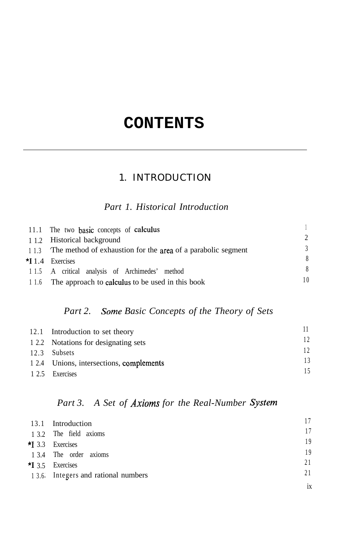# **CONTENTS**

### 1. INTRODUCTION

#### *Part 1. Historical Introduction*

| 11.1 The two basic concepts of calculus                          |  |
|------------------------------------------------------------------|--|
| 1.2 Historical background                                        |  |
| 1.3 The method of exhaustion for the area of a parabolic segment |  |
| $\star$ <b>I</b> 1.4 Exercises                                   |  |
| 1.5 A critical analysis of Archimedes' method                    |  |
| 1.6 The approach to calculus to be used in this book             |  |
|                                                                  |  |

#### *Part 2. Some Basic Concepts of the Theory of Sets*

| 12.1 Introduction to set theory          |  |
|------------------------------------------|--|
| 1.2.2 Notations for designating sets     |  |
| 12.3 Subsets                             |  |
| 1 2.4 Unions, intersections, complements |  |
| 1 2.5 Exercises                          |  |

### *Part 3. A Set of Axioms for the Real-Number System*

| 13.1 Introduction                  |    |
|------------------------------------|----|
| 1 3.2 The field axioms             |    |
| $\star$ 3.3 Exercises              | 19 |
| 1 3.4 The order axioms             | 19 |
| $\star$ <b>I</b> 3.5 Exercises     | 21 |
| 13.6 Integers and rational numbers |    |
|                                    |    |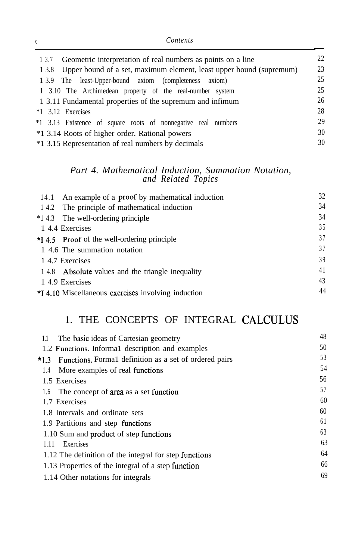| Contents                                                                     |    |
|------------------------------------------------------------------------------|----|
| Geometric interpretation of real numbers as points on a line<br>1 3.7        | 22 |
| Upper bound of a set, maximum element, least upper bound (supremum)<br>1 3.8 | 23 |
| 1 3.9 The least-Upper-bound axiom (completeness<br>axiom)                    | 25 |
| 1 3.10 The Archimedean property of the real-number system                    | 25 |
| 1 3.11 Fundamental properties of the supremum and infimum                    | 26 |
| $*1$ 3.12 Exercises                                                          | 28 |
| *1 3.13 Existence of square roots of nonnegative real numbers                | 29 |
| *1 3.14 Roots of higher order. Rational powers                               | 30 |
| *1 3.15 Representation of real numbers by decimals                           | 30 |

#### *Part 4. Mathematical Induction, Summation Notation, and Related Topics*

| 14.1 An example of a proof by mathematical induction | 32 |
|------------------------------------------------------|----|
| 14.2 The principle of mathematical induction         | 34 |
| *1.4.3 The well-ordering principle                   | 34 |
| 14.4 Exercises                                       | 35 |
| $\star$ 4.5 Proof of the well-ordering principle     | 37 |
| 1 4.6 The summation notation                         | 37 |
| 14.7 Exercises                                       | 39 |
| 14.8 Absolute values and the triangle inequality     | 41 |
| 1 4.9 Exercises                                      | 43 |
| *I 4.10 Miscellaneous exercises involving induction  | 44 |

# 1. THE CONCEPTS OF INTEGRAL CALCULUS

| 1.1    | The basic ideas of Cartesian geometry                  | 48 |
|--------|--------------------------------------------------------|----|
|        | 1.2 Functions. Informal description and examples       | 50 |
| $*1.3$ | Functions. Formal definition as a set of ordered pairs | 53 |
| 1.4    | More examples of real functions                        | 54 |
|        | 1.5 Exercises                                          | 56 |
| 1.6    | The concept of area as a set function                  | 57 |
|        | 1.7 Exercises                                          | 60 |
|        | 1.8 Intervals and ordinate sets                        | 60 |
|        | 1.9 Partitions and step functions                      | 61 |
|        | 1.10 Sum and product of step functions                 | 63 |
| 1.11   | Exercises                                              | 63 |
|        | 1.12 The definition of the integral for step functions | 64 |
|        | 1.13 Properties of the integral of a step function     | 66 |
|        | 1.14 Other notations for integrals                     | 69 |
|        |                                                        |    |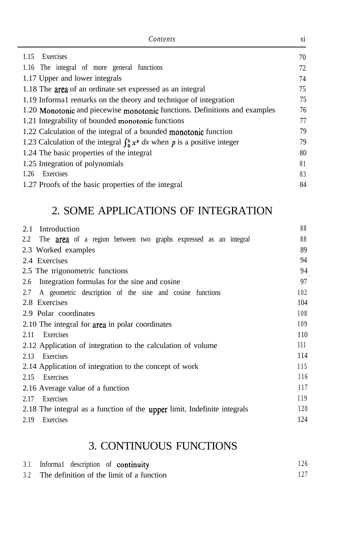| Contents                                                                        | X1 |
|---------------------------------------------------------------------------------|----|
| 1.15<br>Exercises                                                               | 70 |
| 1.16 The integral of more general functions                                     | 72 |
| 1.17 Upper and lower integrals                                                  | 74 |
| 1.18 The area of an ordinate set expressed as an integral                       | 75 |
| 1.19 Informal remarks on the theory and technique of integration                | 75 |
| 1.20 Monotonic and piecewise monotonic functions. Definitions and examples      | 76 |
| 1.21 Integrability of bounded monotonic functions                               | 77 |
| 1.22 Calculation of the integral of a bounded monotonic function                | 79 |
| 1.23 Calculation of the integral $\int_0^b x^p dx$ when p is a positive integer | 79 |
| 1.24 The basic properties of the integral                                       | 80 |
| 1.25 Integration of polynomials                                                 | 81 |
| Exercises<br>1.26                                                               | 83 |
| 1.27 Proofs of the basic properties of the integral                             | 84 |

# 2. SOME APPLICATIONS OF INTEGRATION

| 2.1<br>Introduction                                                            | 88  |
|--------------------------------------------------------------------------------|-----|
| The <b>area</b> of a region between two graphs expressed as an integral<br>2.2 | 88  |
| 2.3 Worked examples                                                            | 89  |
| 2.4 Exercises                                                                  | 94  |
| 2.5 The trigonometric functions                                                | 94  |
| Integration formulas for the sine and cosine.<br>2.6                           | 97  |
| 2.7<br>A geometric description of the sine and cosine functions                | 102 |
| 2.8 Exercises                                                                  | 104 |
| 2.9 Polar coordinates                                                          | 108 |
| 2.10 The integral for area in polar coordinates                                | 109 |
| Exercises<br>2.11                                                              | 110 |
| 2.12 Application of integration to the calculation of volume                   | 111 |
| 2.13<br>Exercises                                                              | 114 |
| 2.14 Application of integration to the concept of work                         | 115 |
| 2.15<br>Exercises                                                              | 116 |
| 2.16 Average value of a function                                               | 117 |
| 2.17<br>Exercises                                                              | 119 |
| 2.18 The integral as a function of the upper limit. Indefinite integrals       | 120 |
| 2.19<br>Exercises                                                              | 124 |

# 3. CONTINUOUS FUNCTIONS

| 3.1 Informal description of continuity        | 126 |
|-----------------------------------------------|-----|
| 3.2 The definition of the limit of a function |     |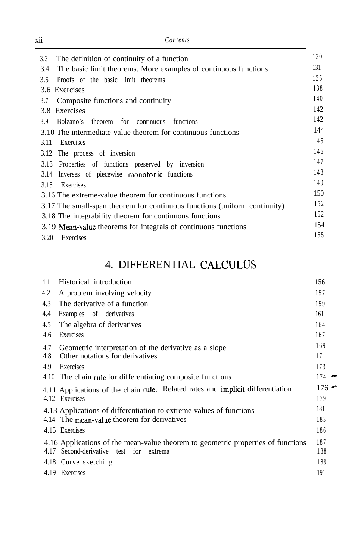| <b>X11</b> | Contents |  |
|------------|----------|--|
|            |          |  |

| 130 |
|-----|
| 131 |
| 135 |
| 138 |
| 140 |
| 142 |
| 142 |
| 144 |
| 145 |
| 146 |
| 147 |
| 148 |
| 149 |
| 150 |
| 152 |
| 152 |
| 154 |
| 155 |
|     |

# 4. DIFFERENTIAL CALCULUS

| 4.1 | Historical introduction                                                          | 156     |
|-----|----------------------------------------------------------------------------------|---------|
| 4.2 | A problem involving velocity                                                     | 157     |
| 4.3 | The derivative of a function                                                     | 159     |
| 4.4 | Examples of derivatives                                                          | 161     |
| 4.5 | The algebra of derivatives                                                       | 164     |
| 4.6 | Exercises                                                                        | 167     |
| 4.7 | Geometric interpretation of the derivative as a slope                            | 169     |
| 4.8 | Other notations for derivatives                                                  | 171     |
| 4.9 | Exercises                                                                        | 173     |
|     | 4.10 The chain rule for differentiating composite functions                      | $174 -$ |
|     | 4.11 Applications of the chain rule. Related rates and implicit differentiation  | $176 -$ |
|     | 4.12 Exercises                                                                   | 179     |
|     | 4.13 Applications of differentiation to extreme values of functions              | 181     |
|     | 4.14 The mean-value theorem for derivatives                                      | 183     |
|     | 4.15 Exercises                                                                   | 186     |
|     | 4.16 Applications of the mean-value theorem to geometric properties of functions | 187     |
|     | 4.17 Second-derivative<br>test for<br>extrema                                    | 188     |
|     | 4.18 Curve sketching                                                             | 189     |
|     | 4.19 Exercises                                                                   | 191     |

| I |  |
|---|--|
| I |  |
|   |  |
|   |  |
|   |  |
|   |  |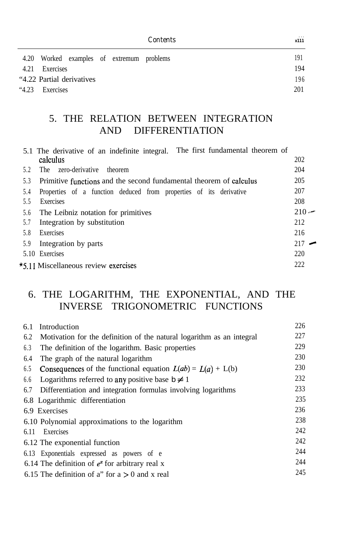|      |                                           | Contents | $\cdots$<br>x111 |
|------|-------------------------------------------|----------|------------------|
|      | 4.20 Worked examples of extremum problems |          | 191              |
| 4.21 | Exercises                                 |          | 194              |
|      | "4.22 Partial derivatives"                |          | 196              |
| 4.23 | Exercises                                 |          | 201              |

#### 5. THE RELATION BETWEEN INTEGRATION AND DIFFERENTIATION

| 5.1 The derivative of an indefinite integral. The first fundamental theorem of |         |
|--------------------------------------------------------------------------------|---------|
| calculus                                                                       | 202     |
| zero-derivative<br>5.2<br>The<br>theorem                                       | 204     |
| 5.3<br>Primitive functions and the second fundamental theorem of calculus      | 205     |
| Properties of a function deduced from properties of its derivative<br>5.4      | 207     |
| 5.5<br>Exercises                                                               | 208     |
| The Leibniz notation for primitives<br>5.6                                     | $210 -$ |
| Integration by substitution<br>5.7                                             | 212     |
| 5.8<br>Exercises                                                               | 216     |
| 5.9<br>Integration by parts                                                    | $217 -$ |
| 5.10 Exercises                                                                 | 220     |
| *5.11 Miscellaneous review exercises                                           | 222     |

### 6. THE LOGARITHM, THE EXPONENTIAL, AND THE INVERSE TRIGONOMETRIC FUNCTIONS

| 6.1  | Introduction                                                          | 226 |
|------|-----------------------------------------------------------------------|-----|
| 6.2  | Motivation for the definition of the natural logarithm as an integral | 227 |
| 6.3  | The definition of the logarithm. Basic properties                     | 229 |
| 6.4  | The graph of the natural logarithm                                    | 230 |
| 6.5  | <b>Consequences</b> of the functional equation $L(ab) = L(a) + L(b)$  | 230 |
| 6.6  | Logarithms referred to any positive base $b \neq 1$                   | 232 |
| 6.7  | Differentiation and integration formulas involving logarithms         | 233 |
|      | 6.8 Logarithmic differentiation                                       | 235 |
|      | 6.9 Exercises                                                         | 236 |
|      | 6.10 Polynomial approximations to the logarithm                       | 238 |
| 6.11 | Exercises                                                             | 242 |
|      | 6.12 The exponential function                                         | 242 |
|      | 6.13 Exponentials expressed as powers of e                            | 244 |
|      | 6.14 The definition of $e^x$ for arbitrary real x                     | 244 |
|      | 6.15 The definition of a" for $a > 0$ and x real                      | 245 |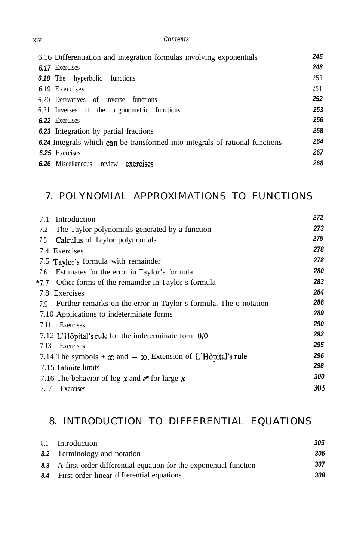| Contents<br>X <sub>1</sub> V                                                 |     |
|------------------------------------------------------------------------------|-----|
| 6.16 Differentiation and integration formulas involving exponentials         | 245 |
| 6.17 Exercises                                                               | 248 |
| 6.18 The hyperbolic functions                                                | 251 |
| 6.19 Exercises                                                               | 251 |
| 6.20 Derivatives of inverse<br>functions                                     | 252 |
| 6.21 Inverses of the trigonometric functions                                 | 253 |
| 6.22 Exercises                                                               | 256 |
| 6.23 Integration by partial fractions                                        | 258 |
| 6.24 Integrals which can be transformed into integrals of rational functions | 264 |
| 6.25 Exercises                                                               | 267 |
| 6.26 Miscellaneous<br>exercises<br>review                                    | 268 |

# 7. POLYNOMIAL APPROXIMATIONS TO FUNCTIONS

|      | 7.1 Introduction                                                         | 272        |
|------|--------------------------------------------------------------------------|------------|
| 7.2  | The Taylor polynomials generated by a function                           | 273        |
| 7.3  | <b>Calculus</b> of Taylor polynomials                                    | 275        |
|      | 7.4 Exercises                                                            | 278        |
|      | 7.5 Taylor's formula with remainder                                      | 278        |
|      | 7.6 Estimates for the error in Taylor's formula                          | 280        |
|      | *7.7 Other forms of the remainder in Taylor's formula                    | 283        |
|      | 7.8 Exercises                                                            | 284        |
|      | 7.9 Further remarks on the error in Taylor's formula. The o-notation     | 286        |
|      | 7.10 Applications to indeterminate forms                                 | 289        |
| 7.11 | Exercises                                                                | 290        |
|      | 7.12 L'Hôpital's rule for the indeterminate form $0/0$                   | 292        |
| 7.13 | Exercises                                                                | 295        |
|      | 7.14 The symbols + $\infty$ and $\infty$ . Extension of L'Hôpital's rule | 296        |
|      | 7.15 Infinite limits                                                     | 298        |
|      | 7.16 The behavior of log x and $e^x$ for large x                         | <i>300</i> |
| 7.17 | Exercises                                                                | 303        |
|      |                                                                          |            |

### 8. INTRODUCTION TO DIFFERENTIAL EQUATIONS

| 8.1 Introduction                                                     | 305 |
|----------------------------------------------------------------------|-----|
| 8.2 Terminology and notation                                         | 306 |
| 8.3 A first-order differential equation for the exponential function | 307 |
| 8.4 First-order linear differential equations                        | 308 |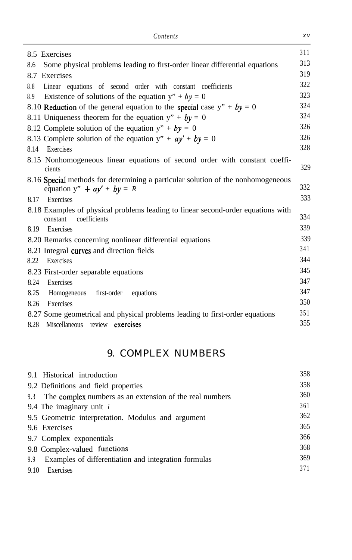| 8.5 Exercises                                                                                                     | 311 |
|-------------------------------------------------------------------------------------------------------------------|-----|
| Some physical problems leading to first-order linear differential equations<br>8.6                                | 313 |
| 8.7 Exercises                                                                                                     | 319 |
| 8.8<br>Linear equations of second order with constant coefficients                                                | 322 |
| Existence of solutions of the equation $y'' + by = 0$<br>8.9                                                      | 323 |
| 8.10 Reduction of the general equation to the special case $y'' + by = 0$                                         | 324 |
| 8.11 Uniqueness theorem for the equation $y'' + by = 0$                                                           | 324 |
| 8.12 Complete solution of the equation $y'' + by = 0$                                                             | 326 |
| 8.13 Complete solution of the equation $y'' + ay' + by = 0$                                                       | 326 |
| Exercises<br>8.14                                                                                                 | 328 |
| 8.15 Nonhomogeneous linear equations of second order with constant coeffi-<br>cients                              | 329 |
| 8.16 Special methods for determining a particular solution of the nonhomogeneous<br>equation $y'' + ay' + by = R$ | 332 |
| Exercises<br>8.17                                                                                                 | 333 |
| 8.18 Examples of physical problems leading to linear second-order equations with<br>coefficients<br>constant      | 334 |
| Exercises<br>8.19                                                                                                 | 339 |
| 8.20 Remarks concerning nonlinear differential equations                                                          | 339 |
| 8.21 Integral curves and direction fields                                                                         | 341 |
| Exercises<br>8.22                                                                                                 | 344 |
| 8.23 First-order separable equations                                                                              | 345 |
| Exercises<br>8.24                                                                                                 | 347 |
| 8.25<br>Homogeneous first-order<br>equations                                                                      | 347 |
| Exercises<br>8.26                                                                                                 | 350 |
| 8.27 Some geometrical and physical problems leading to first-order equations                                      | 351 |
| Miscellaneous review exercises<br>8.28                                                                            | 355 |

### 9. COMPLEX NUMBERS

|      | 9.1 Historical introduction                                 | 358 |
|------|-------------------------------------------------------------|-----|
|      | 9.2 Definitions and field properties                        | 358 |
|      | 9.3 The complex numbers as an extension of the real numbers | 360 |
|      | 9.4 The imaginary unit $i$                                  | 361 |
|      | 9.5 Geometric interpretation. Modulus and argument          | 362 |
|      | 9.6 Exercises                                               | 365 |
|      | 9.7 Complex exponentials                                    | 366 |
|      | 9.8 Complex-valued functions                                | 368 |
| 9.9  | Examples of differentiation and integration formulas        | 369 |
| 9.10 | Exercises                                                   | 371 |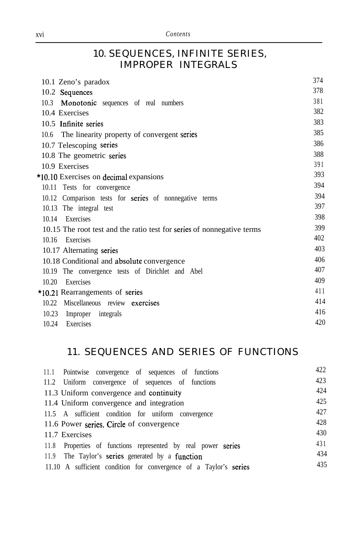#### 10. SEQUENCES, INFINITE SERIES, IMPROPER INTEGRALS

| 10.1 Zeno's paradox                                                    | 374 |
|------------------------------------------------------------------------|-----|
| 10.2 Sequences                                                         | 378 |
| 10.3<br>Monotonic sequences of real numbers                            | 381 |
| 10.4 Exercises                                                         | 382 |
| 10.5 Infinite series                                                   | 383 |
| 10.6 The linearity property of convergent series                       | 385 |
| 10.7 Telescoping series                                                | 386 |
| 10.8 The geometric series                                              | 388 |
| 10.9 Exercises                                                         | 391 |
| *10.10 Exercises on decimal expansions                                 | 393 |
| 10.11 Tests for convergence                                            | 394 |
| 10.12 Comparison tests for series of nonnegative terms                 | 394 |
| 10.13 The integral test                                                | 397 |
| Exercises<br>10.14                                                     | 398 |
| 10.15 The root test and the ratio test for series of nonnegative terms | 399 |
| Exercises<br>10.16                                                     | 402 |
| 10.17 Alternating series                                               | 403 |
| 10.18 Conditional and absolute convergence                             | 406 |
| 10.19 The convergence tests of Dirichlet and Abel                      | 407 |
| Exercises<br>10.20                                                     | 409 |
| $\star$ 10.21 Rearrangements of series                                 | 411 |
| 10.22 Miscellaneous review exercises                                   | 414 |
| 10.23<br>Improper integrals                                            | 416 |
| 10.24<br>Exercises                                                     | 420 |

### 11. SEQUENCES AND SERIES OF FUNCTIONS

| 11.1 Pointwise convergence of sequences of functions              | 422 |
|-------------------------------------------------------------------|-----|
| 11.2 Uniform convergence of sequences of functions                | 423 |
| 11.3 Uniform convergence and continuity                           | 424 |
| 11.4 Uniform convergence and integration                          | 425 |
| 11.5 A sufficient condition for uniform convergence               | 427 |
| 11.6 Power series. Circle of convergence                          | 428 |
| 11.7 Exercises                                                    | 430 |
| 11.8 Properties of functions represented by real power series     | 431 |
| 11.9 The Taylor's series generated by a function                  | 434 |
| 11.10 A sufficient condition for convergence of a Taylor's series | 435 |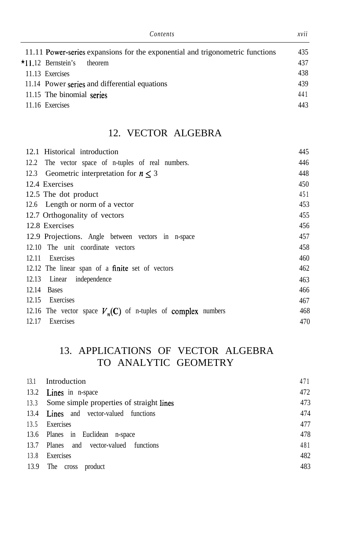| Contents                                                                      | xvu |
|-------------------------------------------------------------------------------|-----|
| 11.11 Power-series expansions for the exponential and trigonometric functions | 435 |
| $*11.12$ Bernstein's<br>theorem                                               | 437 |
| 11.13 Exercises                                                               | 438 |
| 11.14 Power series and differential equations                                 | 439 |
| 11.15 The binomial series                                                     | 441 |
| 11.16 Exercises                                                               | 443 |
|                                                                               |     |

#### 12. VECTOR ALGEBRA

| 12.1 Historical introduction                                   | 445 |
|----------------------------------------------------------------|-----|
| 12.2 The vector space of n-tuples of real numbers.             | 446 |
| 12.3 Geometric interpretation for $n < 3$                      | 448 |
| 12.4 Exercises                                                 | 450 |
| 12.5 The dot product                                           | 451 |
| 12.6 Length or norm of a vector                                | 453 |
| 12.7 Orthogonality of vectors                                  | 455 |
| 12.8 Exercises                                                 | 456 |
| 12.9 Projections. Angle between vectors in n-space             | 457 |
| 12.10 The unit coordinate vectors                              | 458 |
| Exercises<br>12.11                                             | 460 |
| 12.12 The linear span of a finite set of vectors               | 462 |
| 12.13 Linear independence                                      | 463 |
| 12.14<br><b>Bases</b>                                          | 466 |
| Exercises<br>12.15                                             | 467 |
| 12.16 The vector space $V_n(C)$ of n-tuples of complex numbers | 468 |
| Exercises<br>12.17                                             | 470 |

# 13. APPLICATIONS OF VECTOR ALGEBRA TO ANALYTIC GEOMETRY

| 13.1 | Introduction                                  | 471 |
|------|-----------------------------------------------|-----|
|      | 13.2 Lines in n-space                         | 472 |
|      | 13.3 Some simple properties of straight lines | 473 |
|      | 13.4 <b>Lines</b> and vector-valued functions | 474 |
|      | 13.5 Exercises                                | 477 |
|      | 13.6 Planes in Euclidean n-space              | 478 |
|      | 13.7 Planes and vector-valued functions       | 481 |
| 13.8 | Exercises                                     | 482 |
|      | 13.9 The cross product                        | 483 |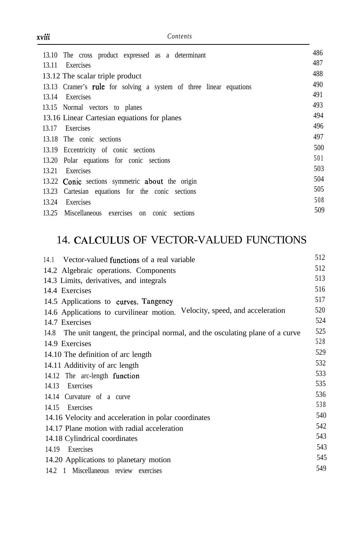| 13.10 The cross product expressed as a determinant                 | 486 |
|--------------------------------------------------------------------|-----|
| Exercises<br>13.11                                                 | 487 |
| 13.12 The scalar triple product                                    | 488 |
| 13.13 Cramer's rule for solving a system of three linear equations | 490 |
| Exercises<br>13.14                                                 | 491 |
| 13.15 Normal vectors to planes                                     | 493 |
| 13.16 Linear Cartesian equations for planes                        | 494 |
| Exercises<br>13.17                                                 | 496 |
| 13.18 The conic sections                                           | 497 |
| 13.19 Eccentricity of conic sections                               | 500 |
| 13.20 Polar equations for conic sections                           | 501 |
| 13.21<br>Exercises                                                 | 503 |
| 13.22 Conic sections symmetric about the origin                    | 504 |
| Cartesian equations for the conic sections<br>13.23                | 505 |
| 13.24<br>Exercises                                                 | 508 |
| 13.25 Miscellaneous exercises on conic sections                    | 509 |

# 14. CALCULUS OF VECTOR-VALUED FUNCTIONS

| Vector-valued functions of a real variable<br>14.1                               | 512 |
|----------------------------------------------------------------------------------|-----|
| 14.2 Algebraic operations. Components                                            | 512 |
| 14.3 Limits, derivatives, and integrals                                          | 513 |
| 14.4 Exercises                                                                   | 516 |
| 14.5 Applications to curves. Tangency                                            | 517 |
| 14.6 Applications to curvilinear motion. Velocity, speed, and acceleration       | 520 |
| 14.7 Exercises                                                                   | 524 |
| 14.8 The unit tangent, the principal normal, and the osculating plane of a curve | 525 |
| 14.9 Exercises                                                                   | 528 |
| 14.10 The definition of arc length                                               | 529 |
| 14.11 Additivity of arc length                                                   | 532 |
| 14.12 The arc-length function                                                    | 533 |
| Exercises<br>14.13                                                               | 535 |
| 14.14 Curvature of a curve                                                       | 536 |
| Exercises<br>14.15                                                               | 538 |
| 14.16 Velocity and acceleration in polar coordinates                             | 540 |
| 14.17 Plane motion with radial acceleration                                      | 542 |
| 14.18 Cylindrical coordinates                                                    | 543 |
| Exercises<br>14.19                                                               | 543 |
| 14.20 Applications to planetary motion                                           | 545 |
| 14.2 1 Miscellaneous review exercises                                            | 549 |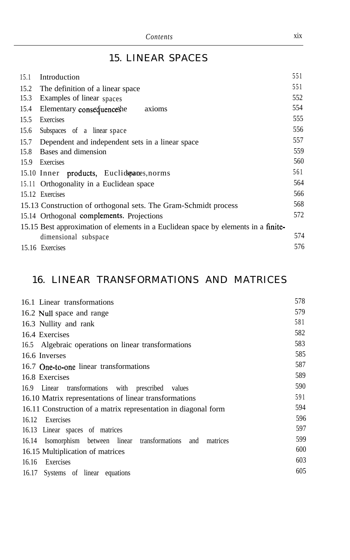|   | I |  |
|---|---|--|
| ٠ |   |  |
|   |   |  |
|   |   |  |
|   |   |  |

# 15. LINEAR SPACES

| 15.1 | Introduction                                                                       | 551 |
|------|------------------------------------------------------------------------------------|-----|
|      | 15.2 The definition of a linear space                                              | 551 |
| 15.3 | Examples of linear spaces                                                          | 552 |
| 15.4 | Elementary consequenceshe<br>axioms                                                | 554 |
| 15.5 | Exercises                                                                          | 555 |
| 15.6 | Subspaces of a linear space                                                        | 556 |
| 15.7 | Dependent and independent sets in a linear space                                   | 557 |
| 15.8 | Bases and dimension                                                                | 559 |
| 15.9 | Exercises                                                                          | 560 |
|      | 15.10 Inner products, Euclidepanes, norms                                          | 561 |
|      | 15.11 Orthogonality in a Euclidean space                                           | 564 |
|      | 15.12 Exercises                                                                    | 566 |
|      | 15.13 Construction of orthogonal sets. The Gram-Schmidt process                    | 568 |
|      | 15.14 Orthogonal complements. Projections                                          | 572 |
|      | 15.15 Best approximation of elements in a Euclidean space by elements in a finite- |     |
|      | dimensional subspace                                                               | 574 |
|      | 15.16 Exercises                                                                    | 576 |

# 16. LINEAR TRANSFORMATIONS AND MATRICES

| 16.1 Linear transformations                                      | 578 |
|------------------------------------------------------------------|-----|
| 16.2 Null space and range                                        | 579 |
| 16.3 Nullity and rank                                            | 581 |
| 16.4 Exercises                                                   | 582 |
| 16.5 Algebraic operations on linear transformations              | 583 |
| 16.6 Inverses                                                    | 585 |
| 16.7 One-to-one linear transformations                           | 587 |
| 16.8 Exercises                                                   | 589 |
| 16.9 Linear transformations with prescribed values               | 590 |
| 16.10 Matrix representations of linear transformations           | 591 |
| 16.11 Construction of a matrix representation in diagonal form   | 594 |
| 16.12 Exercises                                                  | 596 |
| 16.13 Linear spaces of matrices                                  | 597 |
| 16.14 Isomorphism between linear transformations and<br>matrices | 599 |
| 16.15 Multiplication of matrices                                 | 600 |
| 16.16<br>Exercises                                               | 603 |
| 16.17 Systems of linear equations                                | 605 |